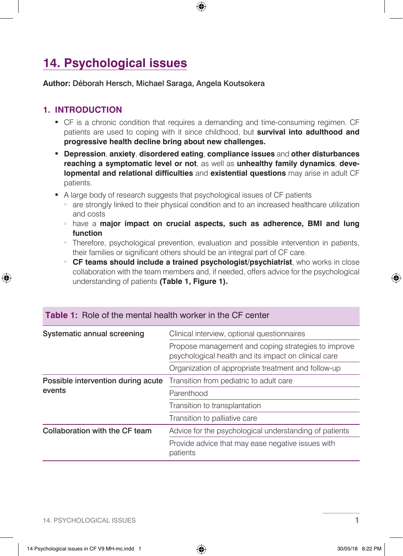# **14. Psychological issues**

#### **Author:** Déborah Hersch, Michael Saraga, Angela Koutsokera

## **1. INTRODUCTION**

- <sup>j</sup> CF is a chronic condition that requires a demanding and time-consuming regimen. CF patients are used to coping with it since childhood, but **survival into adulthood and progressive health decline bring about new challenges.**
- <sup>j</sup> **Depression**, **anxiety**, **disordered eating**, **compliance issues** and **other disturbances reaching a symptomatic level or not**, as well as **unhealthy family dynamics**, **developmental and relational difficulties** and **existential questions** may arise in adult CF patients.
- A large body of research suggests that psychological issues of CF patients
	- are strongly linked to their physical condition and to an increased healthcare utilization and costs
	- **have a major impact on crucial aspects, such as adherence, BMI and lung function**
	- Therefore, psychological prevention, evaluation and possible intervention in patients, their families or significant others should be an integral part of CF care.
	- <sup>s</sup> **CF teams should include a trained psychologist/psychiatrist**, who works in close collaboration with the team members and, if needed, offers advice for the psychological understanding of patients **(Table 1, Figure 1).**

| Systematic annual screening                  | Clinical interview, optional questionnaires                                                                 |  |
|----------------------------------------------|-------------------------------------------------------------------------------------------------------------|--|
|                                              | Propose management and coping strategies to improve<br>psychological health and its impact on clinical care |  |
|                                              | Organization of appropriate treatment and follow-up                                                         |  |
| Possible intervention during acute<br>events | Transition from pediatric to adult care                                                                     |  |
|                                              | Parenthood                                                                                                  |  |
|                                              | Transition to transplantation                                                                               |  |
|                                              | Transition to palliative care                                                                               |  |
| Collaboration with the CF team               | Advice for the psychological understanding of patients                                                      |  |
|                                              | Provide advice that may ease negative issues with<br>patients                                               |  |

#### **Table 1:** Role of the mental health worker in the CF center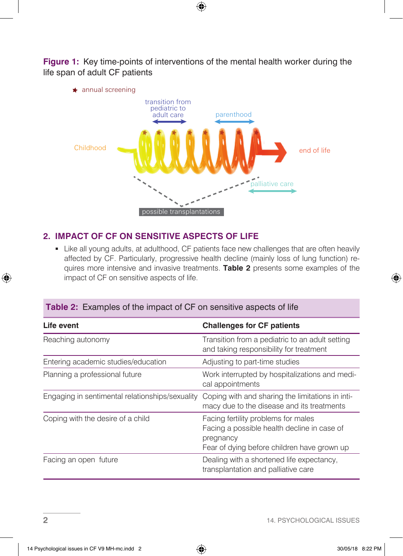**Figure 1:** Key time-points of interventions of the mental health worker during the life span of adult CF patients



## **2. IMPACT OF CF ON SENSITIVE ASPECTS OF LIFE**

• Like all young adults, at adulthood, CF patients face new challenges that are often heavily affected by CF. Particularly, progressive health decline (mainly loss of lung function) requires more intensive and invasive treatments. **Table 2** presents some examples of the impact of CF on sensitive aspects of life.

#### **Table 2:** Examples of the impact of CF on sensitive aspects of life

| Life event                                      | <b>Challenges for CF patients</b>                                                                                                              |
|-------------------------------------------------|------------------------------------------------------------------------------------------------------------------------------------------------|
| Reaching autonomy                               | Transition from a pediatric to an adult setting<br>and taking responsibility for treatment                                                     |
| Entering academic studies/education             | Adjusting to part-time studies                                                                                                                 |
| Planning a professional future                  | Work interrupted by hospitalizations and medi-<br>cal appointments                                                                             |
| Engaging in sentimental relationships/sexuality | Coping with and sharing the limitations in inti-<br>macy due to the disease and its treatments                                                 |
| Coping with the desire of a child               | Facing fertility problems for males<br>Facing a possible health decline in case of<br>pregnancy<br>Fear of dying before children have grown up |
| Facing an open future                           | Dealing with a shortened life expectancy.<br>transplantation and palliative care                                                               |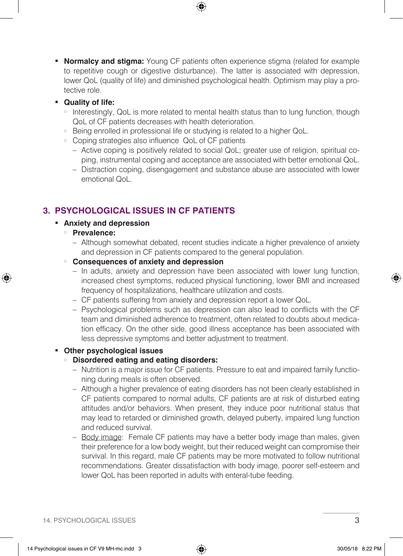**Normalcy and stigma:** Young CF patients often experience stigma (related for example to repetitive cough or digestive disturbance). The latter is associated with depression, lower QoL (quality of life) and diminished psychological health. Optimism may play a protective role.

#### <sup>j</sup> **Quality of life:**

- Interestingly, QoL is more related to mental health status than to lung function, though QoL of CF patients decreases with health deterioration.
- Being enrolled in professional life or studying is related to a higher QoL.
- Coping strategies also influence QoL of CF patients
	- Active coping is positively related to social QoL; greater use of religion, spiritual coping, instrumental coping and acceptance are associated with better emotional QoL.
	- Distraction coping, disengagement and substance abuse are associated with lower emotional QoL.

# **3. PSYCHOLOGICAL ISSUES IN CF PATIENTS**

#### **EXECUTE:** Anxiety and depression

- <sup>s</sup> **Prevalence:**
	- Although somewhat debated, recent studies indicate a higher prevalence of anxiety and depression in CF patients compared to the general population.
- <sup>s</sup> **Consequences of anxiety and depression**
	- In adults, anxiety and depression have been associated with lower lung function, increased chest symptoms, reduced physical functioning, lower BMI and increased frequency of hospitalizations, healthcare utilization and costs.
	- CF patients suffering from anxiety and depression report a lower QoL.
	- Psychological problems such as depression can also lead to conflicts with the CF team and diminished adherence to treatment, often related to doubts about medication efficacy. On the other side, good illness acceptance has been associated with less depressive symptoms and better adjustment to treatment.

#### <sup>j</sup> **Other psychological issues**

#### **Disordered eating and eating disorders:**

- Nutrition is a major issue for CF patients. Pressure to eat and impaired family functioning during meals is often observed.
- Although a higher prevalence of eating disorders has not been clearly established in CF patients compared to normal adults, CF patients are at risk of disturbed eating attitudes and/or behaviors. When present, they induce poor nutritional status that may lead to retarded or diminished growth, delayed puberty, impaired lung function and reduced survival.
- Body image: Female CF patients may have a better body image than males, given their preference for a low body weight, but their reduced weight can compromise their survival. In this regard, male CF patients may be more motivated to follow nutritional recommendations. Greater dissatisfaction with body image, poorer self-esteem and lower QoL has been reported in adults with enteral-tube feeding.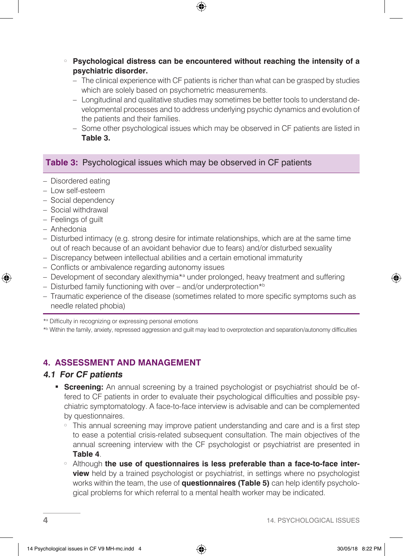- Psychological distress can be encountered without reaching the intensity of a **psychiatric disorder.**
	- The clinical experience with CF patients is richer than what can be grasped by studies which are solely based on psychometric measurements.
	- Longitudinal and qualitative studies may sometimes be better tools to understand developmental processes and to address underlying psychic dynamics and evolution of the patients and their families.
	- Some other psychological issues which may be observed in CF patients are listed in **Table 3.**

## **Table 3:** Psychological issues which may be observed in CF patients

- Disordered eating
- Low self-esteem
- Social dependency
- Social withdrawal
- Feelings of guilt
- Anhedonia
- Disturbed intimacy (e.g. strong desire for intimate relationships, which are at the same time out of reach because of an avoidant behavior due to fears) and/or disturbed sexuality
- Discrepancy between intellectual abilities and a certain emotional immaturity
- Conflicts or ambivalence regarding autonomy issues
- Development of secondary alexithymia\*<sup>a</sup> under prolonged, heavy treatment and suffering
- Disturbed family functioning with over and/or underprotection\*b
- Traumatic experience of the disease (sometimes related to more specific symptoms such as needle related phobia)

\*a Difficulty in recognizing or expressing personal emotions

\*b Within the family, anxiety, repressed aggression and guilt may lead to overprotection and separation/autonomy difficulties

# **4. ASSESSMENT AND MANAGEMENT**

## **4.1 For CF patients**

- **Screening:** An annual screening by a trained psychologist or psychiatrist should be offered to CF patients in order to evaluate their psychological difficulties and possible psychiatric symptomatology. A face-to-face interview is advisable and can be complemented by questionnaires.
	- This annual screening may improve patient understanding and care and is a first step to ease a potential crisis-related subsequent consultation. The main objectives of the annual screening interview with the CF psychologist or psychiatrist are presented in **Table 4**.
	- **Example 1 has a term of questionnaires is less preferable than a face-to-face interview** held by a trained psychologist or psychiatrist, in settings where no psychologist works within the team, the use of **questionnaires (Table 5)** can help identify psychological problems for which referral to a mental health worker may be indicated.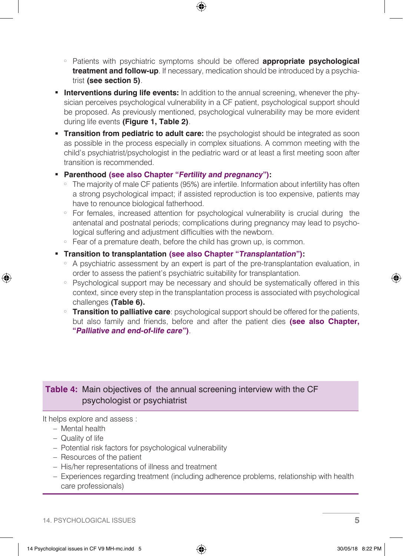- <sup>s</sup> Patients with psychiatric symptoms should be offered **appropriate psychological treatment and follow-up**. If necessary, medication should be introduced by a psychiatrist **(see section 5)**.
- **Interventions during life events:** In addition to the annual screening, whenever the physician perceives psychological vulnerability in a CF patient, psychological support should be proposed. As previously mentioned, psychological vulnerability may be more evident during life events **(Figure 1, Table 2)**.
- **Transition from pediatric to adult care:** the psychologist should be integrated as soon as possible in the process especially in complex situations. A common meeting with the child's psychiatrist/psychologist in the pediatric ward or at least a first meeting soon after transition is recommended.
- **Example 2 Followian Parenthood (see also Chapter "Fertility and pregnancy"):** 
	- The majority of male CF patients (95%) are infertile. Information about infertility has often a strong psychological impact; if assisted reproduction is too expensive, patients may have to renounce biological fatherhood.
	- For females, increased attention for psychological vulnerability is crucial during the antenatal and postnatal periods; complications during pregnancy may lead to psychological suffering and adjustment difficulties with the newborn.
	- Fear of a premature death, before the child has grown up, is common.
- <sup>j</sup> **Transition to transplantation (see also Chapter "Transplantation"):** 
	- A psychiatric assessment by an expert is part of the pre-transplantation evaluation, in order to assess the patient's psychiatric suitability for transplantation.
	- Psychological support may be necessary and should be systematically offered in this context, since every step in the transplantation process is associated with psychological challenges **(Table 6).**
	- **Transition to palliative care**: psychological support should be offered for the patients, but also family and friends, before and after the patient dies **(see also Chapter, "Palliative and end-of-life care")**.

## **Table 4:** Main objectives of the annual screening interview with the CF psychologist or psychiatrist

It helps explore and assess :

- Mental health
- Quality of life
- Potential risk factors for psychological vulnerability
- Resources of the patient
- His/her representations of illness and treatment
- Experiences regarding treatment (including adherence problems, relationship with health care professionals)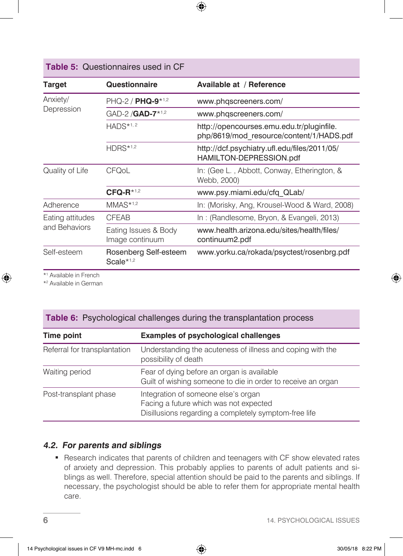# **Table 5:** Questionnaires used in CF

| Target                            | Questionnaire                           | Available at / Reference                                                              |  |
|-----------------------------------|-----------------------------------------|---------------------------------------------------------------------------------------|--|
| Anxiety/<br>Depression            | $PHQ-2 / PHQ-9*1.2$                     | www.phqscreeners.com/                                                                 |  |
|                                   | GAD-2 / GAD-7 <sup>*1,2</sup>           | www.phqscreeners.com/                                                                 |  |
|                                   | $HADS**1, 2$                            | http://opencourses.emu.edu.tr/pluginfile.<br>php/8619/mod_resource/content/1/HADS.pdf |  |
|                                   | $HDRS*1,2$                              | http://dcf.psychiatry.ufl.edu/files/2011/05/<br>HAMILTON-DEPRESSION.pdf               |  |
| Quality of Life                   | CFQoL                                   | In: (Gee L., Abbott, Conway, Etherington, &<br>Webb, 2000)                            |  |
|                                   | $CFAF*1,2$                              | www.psy.miami.edu/cfq QLab/                                                           |  |
| Adherence                         | $MMAS*1,2$                              | In: (Morisky, Ang, Krousel-Wood & Ward, 2008)                                         |  |
| Eating attitudes<br>and Behaviors | <b>CFEAB</b>                            | In: (Randlesome, Bryon, & Evangeli, 2013)                                             |  |
|                                   | Eating Issues & Body<br>Image continuum | www.health.arizona.edu/sites/health/files/<br>continuum2.pdf                          |  |
| Self-esteem                       | Rosenberg Self-esteem<br>Scale $*1,2$   | www.yorku.ca/rokada/psyctest/rosenbrg.pdf                                             |  |

\*1 Available in French

\*2 Available in German

## **Table 6:** Psychological challenges during the transplantation process

| Time point                   | <b>Examples of psychological challenges</b>                                                                                            |  |
|------------------------------|----------------------------------------------------------------------------------------------------------------------------------------|--|
| Referral for transplantation | Understanding the acuteness of illness and coping with the<br>possibility of death                                                     |  |
| Waiting period               | Fear of dying before an organ is available<br>Guilt of wishing someone to die in order to receive an organ                             |  |
| Post-transplant phase        | Integration of someone else's organ<br>Facing a future which was not expected<br>Disillusions regarding a completely symptom-free life |  |

#### **4.2. For parents and siblings**

**-** Research indicates that parents of children and teenagers with CF show elevated rates of anxiety and depression. This probably applies to parents of adult patients and siblings as well. Therefore, special attention should be paid to the parents and siblings. If necessary, the psychologist should be able to refer them for appropriate mental health care.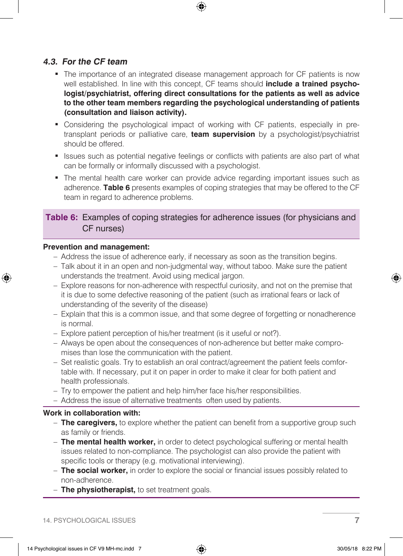#### **4.3. For the CF team**

- The importance of an integrated disease management approach for CF patients is now well established. In line with this concept, CF teams should **include a trained psychologist/psychiatrist, offering direct consultations for the patients as well as advice to the other team members regarding the psychological understanding of patients (consultation and liaison activity).**
- Considering the psychological impact of working with CF patients, especially in pretransplant periods or palliative care, **team supervision** by a psychologist/psychiatrist should be offered.
- **Example 1** Issues such as potential negative feelings or conflicts with patients are also part of what can be formally or informally discussed with a psychologist.
- The mental health care worker can provide advice regarding important issues such as adherence. **Table 6** presents examples of coping strategies that may be offered to the CF team in regard to adherence problems.

## **Table 6:** Examples of coping strategies for adherence issues (for physicians and CF nurses)

#### **Prevention and management:**

- Address the issue of adherence early, if necessary as soon as the transition begins.
- Talk about it in an open and non-judgmental way, without taboo. Make sure the patient understands the treatment. Avoid using medical jargon.
- Explore reasons for non-adherence with respectful curiosity, and not on the premise that it is due to some defective reasoning of the patient (such as irrational fears or lack of understanding of the severity of the disease)
- Explain that this is a common issue, and that some degree of forgetting or nonadherence is normal.
- Explore patient perception of his/her treatment (is it useful or not?).
- Always be open about the consequences of non-adherence but better make compromises than lose the communication with the patient.
- Set realistic goals. Try to establish an oral contract/agreement the patient feels comfortable with. If necessary, put it on paper in order to make it clear for both patient and health professionals.
- Try to empower the patient and help him/her face his/her responsibilities.
- Address the issue of alternative treatments often used by patients.

#### **Work in collaboration with:**

- **The caregivers,** to explore whether the patient can benefit from a supportive group such as family or friends.
- **The mental health worker,** in order to detect psychological suffering or mental health issues related to non-compliance. The psychologist can also provide the patient with specific tools or therapy (e.g. motivational interviewing).
- **The social worker,** in order to explore the social or financial issues possibly related to non-adherence.
- **The physiotherapist,** to set treatment goals.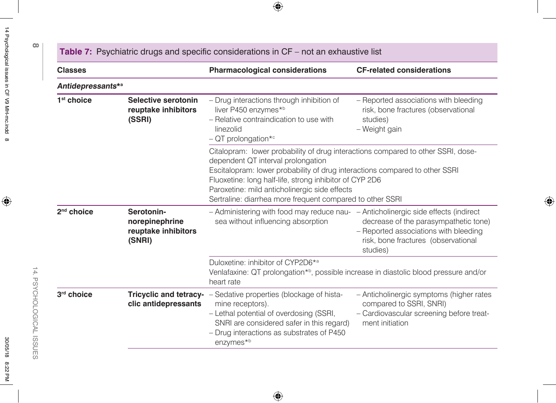| <b>Classes</b>         |                                                               | <b>Pharmacological considerations</b>                                                                                                                                                                                                                                                                                                                                          | <b>CF-related considerations</b>                                                                                                   |  |
|------------------------|---------------------------------------------------------------|--------------------------------------------------------------------------------------------------------------------------------------------------------------------------------------------------------------------------------------------------------------------------------------------------------------------------------------------------------------------------------|------------------------------------------------------------------------------------------------------------------------------------|--|
| Antidepressants*a      |                                                               |                                                                                                                                                                                                                                                                                                                                                                                |                                                                                                                                    |  |
| $1st$ choice           | Selective serotonin<br>reuptake inhibitors<br>(SSRI)          | - Drug interactions through inhibition of<br>liver P450 enzymes*b<br>- Relative contraindication to use with<br>linezolid<br>$-$ QT prolongation*c                                                                                                                                                                                                                             | - Reported associations with bleeding<br>risk, bone fractures (observational<br>studies)<br>- Weight gain                          |  |
|                        |                                                               | Citalopram: lower probability of drug interactions compared to other SSRI, dose-<br>dependent QT interval prolongation<br>Escitalopram: lower probability of drug interactions compared to other SSRI<br>Fluoxetine: long half-life, strong inhibitor of CYP 2D6<br>Paroxetine: mild anticholinergic side effects<br>Sertraline: diarrhea more frequent compared to other SSRI |                                                                                                                                    |  |
| 2 <sup>nd</sup> choice | Serotonin-<br>norepinephrine<br>reuptake inhibitors<br>(SNRI) | - Administering with food may reduce nau- - Anticholinergic side effects (indirect<br>sea without influencing absorption                                                                                                                                                                                                                                                       | decrease of the parasympathetic tone)<br>- Reported associations with bleeding<br>risk, bone fractures (observational<br>studies)  |  |
|                        |                                                               | Duloxetine: inhibitor of CYP2D6*a<br>Venlafaxine: QT prolongation*b, possible increase in diastolic blood pressure and/or<br>heart rate                                                                                                                                                                                                                                        |                                                                                                                                    |  |
| 3rd choice             | clic antidepressants                                          | <b>Tricyclic and tetracy-</b> - Sedative properties (blockage of hista-<br>mine receptors).<br>- Lethal potential of overdosing (SSRI,<br>SNRI are considered safer in this regard)<br>- Drug interactions as substrates of P450<br>enzymes*b                                                                                                                                  | - Anticholinergic symptoms (higher rates<br>compared to SSRI, SNRI)<br>- Cardiovascular screening before treat-<br>ment initiation |  |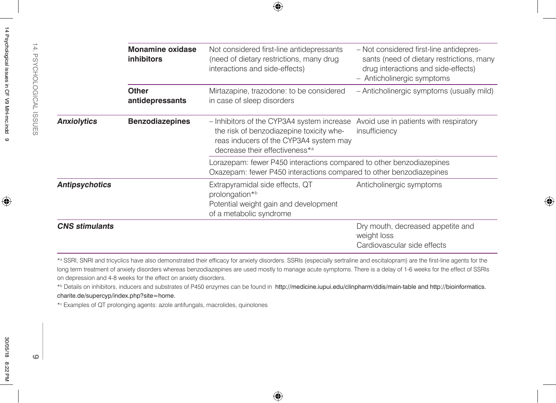|                                          | <b>Monamine oxidase</b><br><b>inhibitors</b>                                                                                                       | Not considered first-line antidepressants<br>(need of dietary restrictions, many drug<br>interactions and side-effects)                                                                                                                                                                                                                                                                                                                                                                                                        | - Not considered first-line antidepres-<br>sants (need of dietary restrictions, many<br>drug interactions and side-effects)<br>- Anticholinergic symptoms |
|------------------------------------------|----------------------------------------------------------------------------------------------------------------------------------------------------|--------------------------------------------------------------------------------------------------------------------------------------------------------------------------------------------------------------------------------------------------------------------------------------------------------------------------------------------------------------------------------------------------------------------------------------------------------------------------------------------------------------------------------|-----------------------------------------------------------------------------------------------------------------------------------------------------------|
|                                          | <b>Other</b><br>antidepressants                                                                                                                    | Mirtazapine, trazodone: to be considered<br>in case of sleep disorders                                                                                                                                                                                                                                                                                                                                                                                                                                                         | - Anticholinergic symptoms (usually mild)                                                                                                                 |
| <b>Anxiolytics</b>                       | <b>Benzodiazepines</b>                                                                                                                             | - Inhibitors of the CYP3A4 system increase<br>the risk of benzodiazepine toxicity whe-<br>reas inducers of the CYP3A4 system may<br>decrease their effectiveness*a                                                                                                                                                                                                                                                                                                                                                             | Avoid use in patients with respiratory<br>insufficiency                                                                                                   |
|                                          |                                                                                                                                                    | Lorazepam: fewer P450 interactions compared to other benzodiazepines<br>Oxazepam: fewer P450 interactions compared to other benzodiazepines                                                                                                                                                                                                                                                                                                                                                                                    |                                                                                                                                                           |
| <b>Antipsychotics</b>                    |                                                                                                                                                    | Extrapyramidal side effects, QT<br>prolongation*b<br>Potential weight gain and development<br>of a metabolic syndrome                                                                                                                                                                                                                                                                                                                                                                                                          | Anticholinergic symptoms                                                                                                                                  |
| <b>CNS</b> stimulants                    |                                                                                                                                                    |                                                                                                                                                                                                                                                                                                                                                                                                                                                                                                                                | Dry mouth, decreased appetite and<br>weight loss<br>Cardiovascular side effects                                                                           |
| charite.de/supercyp/index.php?site=home. | on depression and 4-8 weeks for the effect on anxiety disorders.<br>*c Examples of QT prolonging agents: azole antifungals, macrolides, quinolones | *ª SSRI, SNRI and tricyclics have also demonstrated their efficacy for anxiety disorders. SSRIs (especially sertraline and escitalopram) are the first-line agents for the<br>long term treatment of anxiety disorders whereas benzodiazepines are used mostly to manage acute symptoms. There is a delay of 1-6 weeks for the effect of SSRIs<br>* <sup>b</sup> Details on inhibitors, inducers and substrates of P450 enzymes can be found in http://medicine.iupui.edu/clinpharm/ddis/main-table and http://bioinformatics. |                                                                                                                                                           |
|                                          |                                                                                                                                                    |                                                                                                                                                                                                                                                                                                                                                                                                                                                                                                                                |                                                                                                                                                           |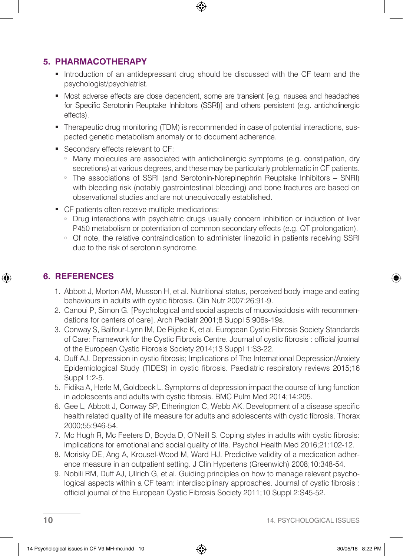## **5. PHARMACOTHERAPY**

- Introduction of an antidepressant drug should be discussed with the CF team and the psychologist/psychiatrist.
- Most adverse effects are dose dependent, some are transient [e.g. nausea and headaches for Specific Serotonin Reuptake Inhibitors (SSRI)] and others persistent (e.g. anticholinergic effects).
- Therapeutic drug monitoring (TDM) is recommended in case of potential interactions, suspected genetic metabolism anomaly or to document adherence.
- Secondary effects relevant to CF:
	- Many molecules are associated with anticholinergic symptoms (e.g. constipation, dry secretions) at various degrees, and these may be particularly problematic in CF patients.
	- <sup>s</sup> The associations of SSRI (and Serotonin-Norepinephrin Reuptake Inhibitors SNRI) with bleeding risk (notably gastrointestinal bleeding) and bone fractures are based on observational studies and are not unequivocally established.
- CF patients often receive multiple medications:
	- <sup>s</sup> Drug interactions with psychiatric drugs usually concern inhibition or induction of liver P450 metabolism or potentiation of common secondary effects (e.g. QT prolongation).
	- o Of note, the relative contraindication to administer linezolid in patients receiving SSRI due to the risk of serotonin syndrome.

# **6. REFERENCES**

- 1. Abbott J, Morton AM, Musson H, et al. Nutritional status, perceived body image and eating behaviours in adults with cystic fibrosis. Clin Nutr 2007;26:91-9.
- 2. Canoui P, Simon G. [Psychological and social aspects of mucoviscidosis with recommendations for centers of care]. Arch Pediatr 2001;8 Suppl 5:906s-19s.
- 3. Conway S, Balfour-Lynn IM, De Rijcke K, et al. European Cystic Fibrosis Society Standards of Care: Framework for the Cystic Fibrosis Centre. Journal of cystic fibrosis : official journal of the European Cystic Fibrosis Society 2014;13 Suppl 1:S3-22.
- 4. Duff AJ. Depression in cystic fibrosis; Implications of The International Depression/Anxiety Epidemiological Study (TIDES) in cystic fibrosis. Paediatric respiratory reviews 2015;16 Suppl 1:2-5.
- 5. Fidika A, Herle M, Goldbeck L. Symptoms of depression impact the course of lung function in adolescents and adults with cystic fibrosis. BMC Pulm Med 2014;14:205.
- 6. Gee L, Abbott J, Conway SP, Etherington C, Webb AK. Development of a disease specific health related quality of life measure for adults and adolescents with cystic fibrosis. Thorax 2000;55:946-54.
- 7. Mc Hugh R, Mc Feeters D, Boyda D, O'Neill S. Coping styles in adults with cystic fibrosis: implications for emotional and social quality of life. Psychol Health Med 2016;21:102-12.
- 8. Morisky DE, Ang A, Krousel-Wood M, Ward HJ. Predictive validity of a medication adherence measure in an outpatient setting. J Clin Hypertens (Greenwich) 2008;10:348-54.
- 9. Nobili RM, Duff AJ, Ullrich G, et al. Guiding principles on how to manage relevant psychological aspects within a CF team: interdisciplinary approaches. Journal of cystic fibrosis : official journal of the European Cystic Fibrosis Society 2011;10 Suppl 2:S45-52.